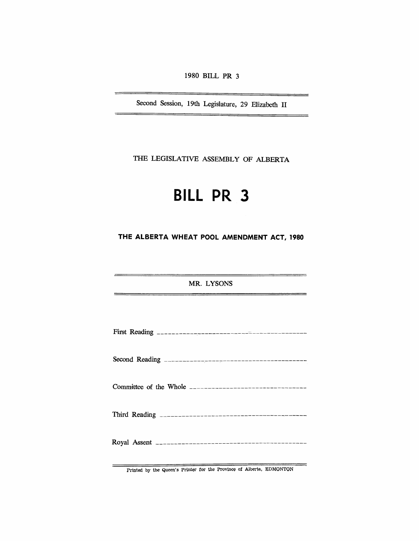1980 BILL **PR 3** 

Second Session, 19th Legislature, 29 Elizabeth II

THE LEGISLATIVE ASSEMBLY OF ALBERTA

# **BILL PR 3**

**THE ALBERTA WHEAT POOL AMENDMENT ACT, 1980** 

MR. LYSONS

—

Printed by the Queen's Printer for the Province of Alberta, EDMONTON